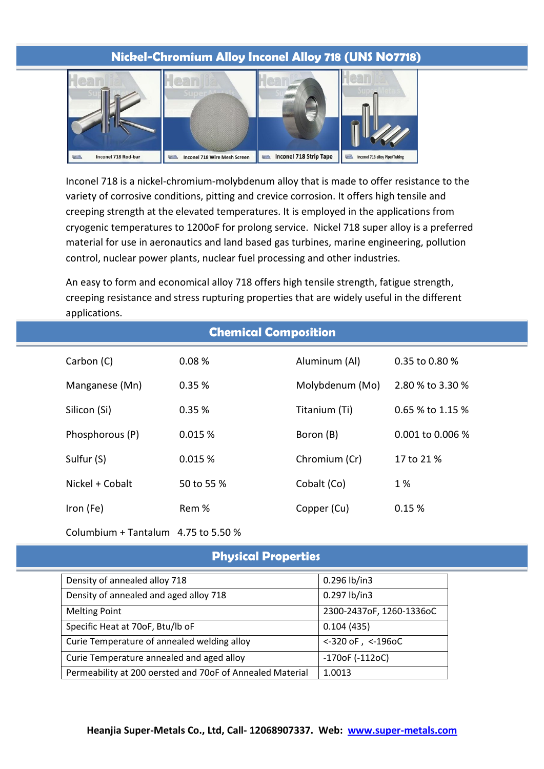### **Nickel-Chromium Alloy Inconel Alloy 718 (UNS N07718)**



Inconel 718 is a nickel-chromium-molybdenum alloy that is made to offer resistance to the variety of corrosive conditions, pitting and crevice corrosion. It offers high tensile and creeping strength at the elevated temperatures. It is employed in the applications from cryogenic temperatures to 1200oF for prolong service. Nickel 718 super alloy is a preferred material for use in aeronautics and land based gas turbines, marine engineering, pollution control, nuclear power plants, nuclear fuel processing and other industries.

An easy to form and economical alloy 718 offers high tensile strength, fatigue strength, creeping resistance and stress rupturing properties that are widely useful in the different applications.

| <b>Chemical Composition</b> |                 |            |                 |                    |  |  |  |
|-----------------------------|-----------------|------------|-----------------|--------------------|--|--|--|
|                             | Carbon (C)      | 0.08%      | Aluminum (Al)   | 0.35 to 0.80 %     |  |  |  |
|                             | Manganese (Mn)  | 0.35%      | Molybdenum (Mo) | 2.80 % to 3.30 %   |  |  |  |
|                             | Silicon (Si)    | 0.35%      | Titanium (Ti)   | $0.65$ % to 1.15 % |  |  |  |
|                             | Phosphorous (P) | 0.015 %    | Boron (B)       | 0.001 to 0.006 %   |  |  |  |
|                             | Sulfur (S)      | 0.015%     | Chromium (Cr)   | 17 to 21 %         |  |  |  |
|                             | Nickel + Cobalt | 50 to 55 % | Cobalt (Co)     | 1 %                |  |  |  |
|                             | Iron (Fe)       | Rem %      | Copper (Cu)     | 0.15%              |  |  |  |

Columbium + Tantalum 4.75 to 5.50 %

## **Physical Properties**

| Density of annealed alloy 718                             | 0.296 lb/in3             |
|-----------------------------------------------------------|--------------------------|
| Density of annealed and aged alloy 718                    | 0.297 lb/in3             |
| <b>Melting Point</b>                                      | 2300-2437oF, 1260-1336oC |
| Specific Heat at 70oF, Btu/lb oF                          | 0.104(435)               |
| Curie Temperature of annealed welding alloy               | $<$ -320 oF, $<$ -196oC  |
| Curie Temperature annealed and aged alloy                 | $-170$ oF ( $-112$ oC)   |
| Permeability at 200 oersted and 70oF of Annealed Material | 1.0013                   |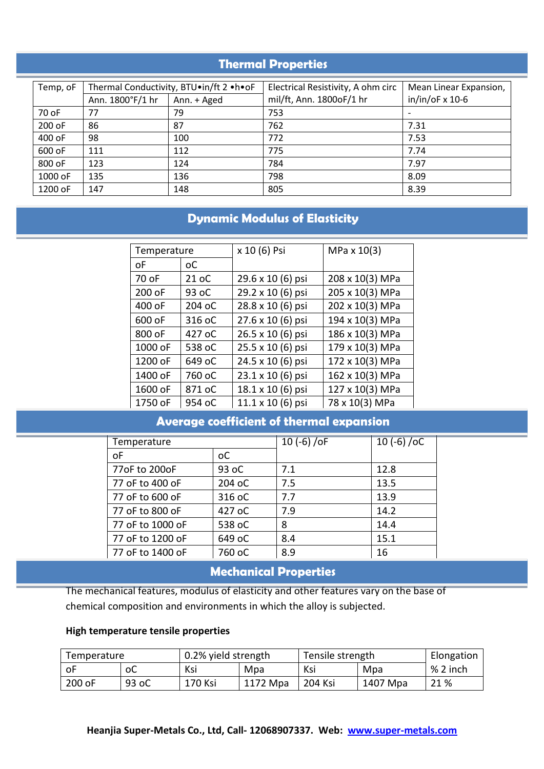# **Thermal Properties**

| Temp, oF | Thermal Conductivity, BTU.in/ft 2 .h.oF |             | Electrical Resistivity, A ohm circ | Mean Linear Expansion, |
|----------|-----------------------------------------|-------------|------------------------------------|------------------------|
|          | Ann. 1800°F/1 hr                        | Ann. + Aged | mil/ft, Ann. 1800oF/1 hr           | $in/in/OF \times 10-6$ |
| 70 oF    | 77                                      | 79          | 753                                |                        |
| 200 oF   | 86                                      | 87          | 762                                | 7.31                   |
| 400 oF   | 98                                      | 100         | 772                                | 7.53                   |
| 600 oF   | 111                                     | 112         | 775                                | 7.74                   |
| 800 oF   | 123                                     | 124         | 784                                | 7.97                   |
| 1000 oF  | 135                                     | 136         | 798                                | 8.09                   |
| 1200 oF  | 147                                     | 148         | 805                                | 8.39                   |

# **Dynamic Modulus of Elasticity**

| Temperature |        | x 10 (6) Psi      | MPa $x 10(3)$   |  |
|-------------|--------|-------------------|-----------------|--|
| οF          | оC     |                   |                 |  |
| 70 oF       | 21 oC  | 29.6 x 10 (6) psi | 208 x 10(3) MPa |  |
| 200 oF      | 93 oC  | 29.2 x 10 (6) psi | 205 x 10(3) MPa |  |
| 400 oF      | 204 oC | 28.8 x 10 (6) psi | 202 x 10(3) MPa |  |
| 600 oF      | 316 oC | 27.6 x 10 (6) psi | 194 x 10(3) MPa |  |
| 800 oF      | 427 oC | 26.5 x 10 (6) psi | 186 x 10(3) MPa |  |
| 1000 oF     | 538 oC | 25.5 x 10 (6) psi | 179 x 10(3) MPa |  |
| 1200 oF     | 649 oC | 24.5 x 10 (6) psi | 172 x 10(3) MPa |  |
| 1400 oF     | 760 oC | 23.1 x 10 (6) psi | 162 x 10(3) MPa |  |
| 1600 oF     | 871 oC | 18.1 x 10 (6) psi | 127 x 10(3) MPa |  |
| 1750 oF     | 954 oC | 11.1 x 10 (6) psi | 78 x 10(3) MPa  |  |

# **Average coefficient of thermal expansion**

| Temperature      |                | 10 $(-6)$ /oF | 10 $(-6)/0C$ |  |
|------------------|----------------|---------------|--------------|--|
| οF               | <sub>o</sub> c |               |              |  |
| 77oF to 200oF    | 93 oC          | 7.1           | 12.8         |  |
| 77 oF to 400 oF  | 204 oC         | 7.5           | 13.5         |  |
| 77 oF to 600 oF  | 316 oC         | 7.7           | 13.9         |  |
| 77 oF to 800 oF  | 427 oC         | 7.9           | 14.2         |  |
| 77 oF to 1000 oF | 538 oC         | 8             | 14.4         |  |
| 77 oF to 1200 oF | 649 oC         | 8.4           | 15.1         |  |
| 77 oF to 1400 oF | 760 oC         | 8.9           | 16           |  |

# **Mechanical Properties**

The mechanical features, modulus of elasticity and other features vary on the base of chemical composition and environments in which the alloy is subjected.

#### **High temperature tensile properties**

| 0.2% yield strength<br>Tensile strength<br>Temperature |       |         | Elongation |         |          |          |
|--------------------------------------------------------|-------|---------|------------|---------|----------|----------|
| оF                                                     | оC    | Ksi     | Mpa        | Ksi     | Mpa      | % 2 inch |
| 200 oF                                                 | 93 oC | 170 Ksi | 1172 Mpa   | 204 Ksi | 1407 Mpa | 21 %     |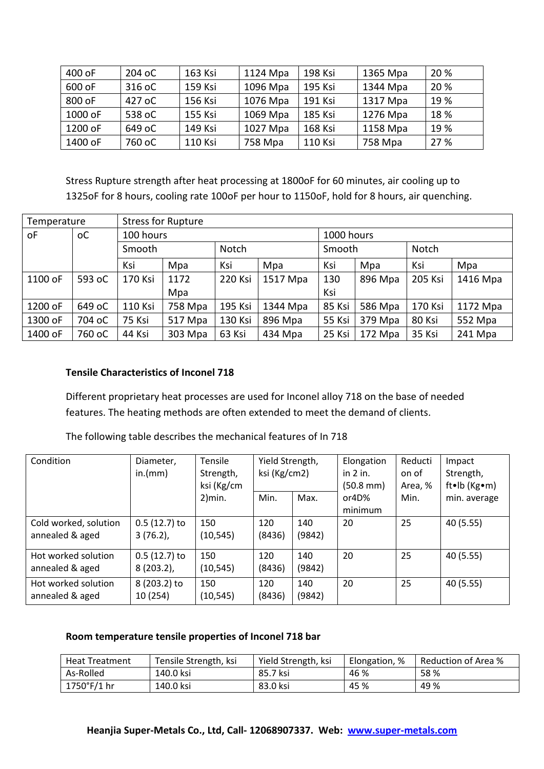| 400 oF  | 204 oC | 163 Ksi | 1124 Mpa | 198 Ksi | 1365 Mpa | 20 % |
|---------|--------|---------|----------|---------|----------|------|
| 600 oF  | 316 oC | 159 Ksi | 1096 Mpa | 195 Ksi | 1344 Mpa | 20 % |
| 800 oF  | 427 oC | 156 Ksi | 1076 Mpa | 191 Ksi | 1317 Mpa | 19 % |
| 1000 oF | 538 oC | 155 Ksi | 1069 Mpa | 185 Ksi | 1276 Mpa | 18 % |
| 1200 oF | 649 oC | 149 Ksi | 1027 Mpa | 168 Ksi | 1158 Mpa | 19 % |
| 1400 oF | 760 oC | 110 Ksi | 758 Mpa  | 110 Ksi | 758 Mpa  | 27 % |

Stress Rupture strength after heat processing at 1800oF for 60 minutes, air cooling up to 1325oF for 8 hours, cooling rate 100oF per hour to 1150oF, hold for 8 hours, air quenching.

| Temperature |        | <b>Stress for Rupture</b> |         |         |            |        |         |         |          |
|-------------|--------|---------------------------|---------|---------|------------|--------|---------|---------|----------|
| oF          | оC     | 100 hours                 |         |         | 1000 hours |        |         |         |          |
|             |        | <b>Notch</b><br>Smooth    |         |         | Smooth     |        | Notch   |         |          |
|             |        | Ksi                       | Mpa     | Ksi     | Mpa        | Ksi    | Mpa     | Ksi     | Mpa      |
| 1100 oF     | 593 oC | 170 Ksi                   | 1172    | 220 Ksi | 1517 Mpa   | 130    | 896 Mpa | 205 Ksi | 1416 Mpa |
|             |        |                           | Mpa     |         |            | Ksi    |         |         |          |
| 1200 oF     | 649 oC | 110 Ksi                   | 758 Mpa | 195 Ksi | 1344 Mpa   | 85 Ksi | 586 Mpa | 170 Ksi | 1172 Mpa |
| 1300 oF     | 704 oC | 75 Ksi                    | 517 Mpa | 130 Ksi | 896 Mpa    | 55 Ksi | 379 Mpa | 80 Ksi  | 552 Mpa  |
| 1400 oF     | 760 oC | 44 Ksi                    | 303 Mpa | 63 Ksi  | 434 Mpa    | 25 Ksi | 172 Mpa | 35 Ksi  | 241 Mpa  |

### **Tensile Characteristics of Inconel 718**

Different proprietary heat processes are used for Inconel alloy 718 on the base of needed features. The heating methods are often extended to meet the demand of clients.

The following table describes the mechanical features of In 718

| Condition                                | Diameter,<br>in.(mm)           | <b>Tensile</b><br>Strength,<br>ksi (Kg/cm | Yield Strength,<br>ksi (Kg/cm2) |               | Elongation<br>in 2 in.<br>$(50.8 \text{ mm})$ | Reducti<br>on of<br>Area, % | Impact<br>Strength,<br>ft•lb ( $Kg$ •m) |
|------------------------------------------|--------------------------------|-------------------------------------------|---------------------------------|---------------|-----------------------------------------------|-----------------------------|-----------------------------------------|
|                                          |                                | $2)$ min.                                 | Min.                            | Max.          | or4D%<br>minimum                              | Min.                        | min. average                            |
| Cold worked, solution<br>annealed & aged | $0.5(12.7)$ to<br>$3(76.2)$ ,  | 150<br>(10, 545)                          | 120<br>(8436)                   | 140<br>(9842) | 20                                            | 25                          | 40 (5.55)                               |
| Hot worked solution<br>annealed & aged   | $0.5(12.7)$ to<br>$8(203.2)$ , | 150<br>(10, 545)                          | 120<br>(8436)                   | 140<br>(9842) | 20                                            | 25                          | 40 (5.55)                               |
| Hot worked solution<br>annealed & aged   | 8 (203.2) to<br>10 (254)       | 150<br>(10, 545)                          | 120<br>(8436)                   | 140<br>(9842) | 20                                            | 25                          | 40 (5.55)                               |

#### **Room temperature tensile properties of Inconel 718 bar**

| <b>Heat Treatment</b> | Tensile Strength, ksi | Yield Strength, ksi | Elongation, % | Reduction of Area % |
|-----------------------|-----------------------|---------------------|---------------|---------------------|
| As-Rolled             | 140.0 ksi             | 85.7 ksi            | 46 %          | 58%                 |
| $1750^{\circ}$ F/1 hr | 140.0 ksi             | 83.0 ksi            | 45 %          | 49 %                |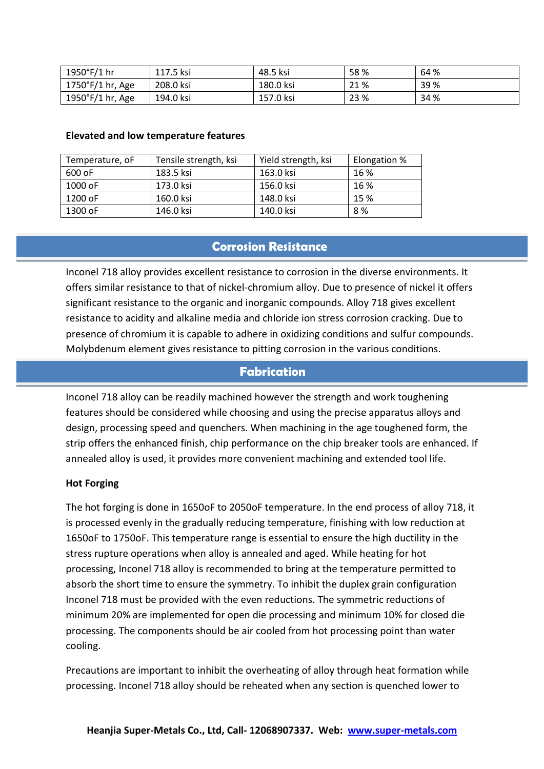| 1950°F/1 hr                   | 117.5 ksi | 48.5 ksi        | 58%  | 64 % |
|-------------------------------|-----------|-----------------|------|------|
| $1750^{\circ}$ F/1 hr,<br>Age | 208.0 ksi | 180.0 ksi       | 21%  | 39 % |
| 1950°F/1 hr,<br>Age           | 194.0 ksi | 157.<br>'.0 ksi | 23 % | 34 % |

#### **Elevated and low temperature features**

| Temperature, oF | Tensile strength, ksi | Yield strength, ksi | Elongation % |
|-----------------|-----------------------|---------------------|--------------|
| 600 oF          | 183.5 ksi             | 163.0 ksi           | 16 %         |
| $1000$ oF       | 173.0 ksi             | 156.0 ksi           | 16 %         |
| 1200 oF         | 160.0 ksi             | 148.0 ksi           | 15 %         |
| 1300 oF         | 146.0 ksi             | 140.0 ksi           | 8%           |

### **Corrosion Resistance**

Inconel 718 alloy provides excellent resistance to corrosion in the diverse environments. It offers similar resistance to that of nickel-chromium alloy. Due to presence of nickel it offers significant resistance to the organic and inorganic compounds. Alloy 718 gives excellent resistance to acidity and alkaline media and chloride ion stress corrosion cracking. Due to presence of chromium it is capable to adhere in oxidizing conditions and sulfur compounds. Molybdenum element gives resistance to pitting corrosion in the various conditions.

### **Fabrication**

Inconel 718 alloy can be readily machined however the strength and work toughening features should be considered while choosing and using the precise apparatus alloys and design, processing speed and quenchers. When machining in the age toughened form, the strip offers the enhanced finish, chip performance on the chip breaker tools are enhanced. If annealed alloy is used, it provides more convenient machining and extended tool life.

#### **Hot Forging**

The hot forging is done in 1650oF to 2050oF temperature. In the end process of alloy 718, it is processed evenly in the gradually reducing temperature, finishing with low reduction at 1650oF to 1750oF. This temperature range is essential to ensure the high ductility in the stress rupture operations when alloy is annealed and aged. While heating for hot processing, Inconel 718 alloy is recommended to bring at the temperature permitted to absorb the short time to ensure the symmetry. To inhibit the duplex grain configuration Inconel 718 must be provided with the even reductions. The symmetric reductions of minimum 20% are implemented for open die processing and minimum 10% for closed die processing. The components should be air cooled from hot processing point than water cooling.

Precautions are important to inhibit the overheating of alloy through heat formation while processing. Inconel 718 alloy should be reheated when any section is quenched lower to